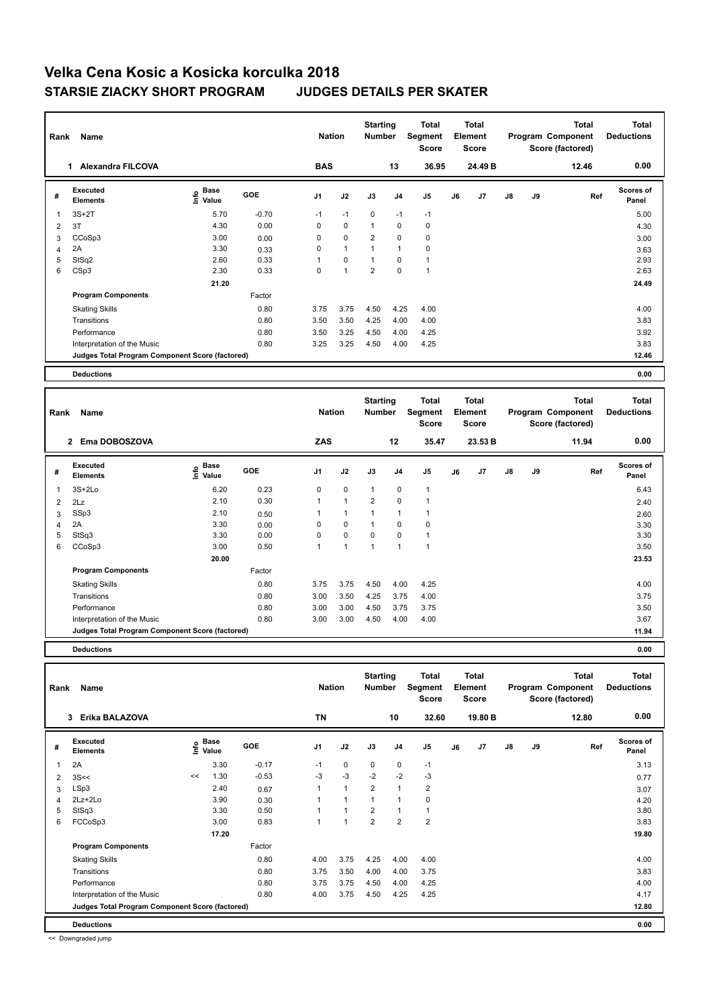| Rank           | Name                                            |                       |            | <b>Nation</b>  |                | <b>Starting</b><br><b>Number</b> |                | <b>Total</b><br>Segment<br><b>Score</b> |    | Total<br>Element<br><b>Score</b> |               |    | <b>Total</b><br>Program Component<br>Score (factored) | <b>Total</b><br><b>Deductions</b> |
|----------------|-------------------------------------------------|-----------------------|------------|----------------|----------------|----------------------------------|----------------|-----------------------------------------|----|----------------------------------|---------------|----|-------------------------------------------------------|-----------------------------------|
|                | <b>Alexandra FILCOVA</b><br>1.                  |                       |            | <b>BAS</b>     |                |                                  | 13             | 36.95                                   |    | 24.49 B                          |               |    | 12.46                                                 | 0.00                              |
| #              | Executed<br><b>Elements</b>                     | Base<br>lnfo<br>Value | <b>GOE</b> | J <sub>1</sub> | J2             | J3                               | J <sub>4</sub> | J <sub>5</sub>                          | J6 | J7                               | $\mathsf{J}8$ | J9 | Ref                                                   | <b>Scores of</b><br>Panel         |
| 1              | $3S+2T$                                         | 5.70                  | $-0.70$    | $-1$           | $-1$           | $\mathbf 0$                      | $-1$           | $-1$                                    |    |                                  |               |    |                                                       | 5.00                              |
| 2              | 3T                                              | 4.30                  | 0.00       | 0              | $\mathbf 0$    | $\mathbf{1}$                     | 0              | 0                                       |    |                                  |               |    |                                                       | 4.30                              |
| 3              | CCoSp3                                          | 3.00                  | 0.00       | 0              | $\mathbf 0$    | $\overline{2}$                   | $\mathbf 0$    | $\pmb{0}$                               |    |                                  |               |    |                                                       | 3.00                              |
| $\overline{4}$ | 2A                                              | 3.30                  | 0.33       | 0              | $\overline{1}$ |                                  | $\overline{1}$ | $\mathbf 0$                             |    |                                  |               |    |                                                       | 3.63                              |
| 5              | StSq2                                           | 2.60                  | 0.33       |                | 0              | $\mathbf 1$                      | 0              | $\mathbf{1}$                            |    |                                  |               |    |                                                       | 2.93                              |
| 6              | CSp3                                            | 2.30                  | 0.33       | 0              | $\overline{1}$ | $\overline{2}$                   | $\mathbf 0$    | $\overline{1}$                          |    |                                  |               |    |                                                       | 2.63                              |
|                |                                                 | 21.20                 |            |                |                |                                  |                |                                         |    |                                  |               |    |                                                       | 24.49                             |
|                | <b>Program Components</b>                       |                       | Factor     |                |                |                                  |                |                                         |    |                                  |               |    |                                                       |                                   |
|                | <b>Skating Skills</b>                           |                       | 0.80       | 3.75           | 3.75           | 4.50                             | 4.25           | 4.00                                    |    |                                  |               |    |                                                       | 4.00                              |
|                | Transitions                                     |                       | 0.80       | 3.50           | 3.50           | 4.25                             | 4.00           | 4.00                                    |    |                                  |               |    |                                                       | 3.83                              |
|                | Performance                                     |                       | 0.80       | 3.50           | 3.25           | 4.50                             | 4.00           | 4.25                                    |    |                                  |               |    |                                                       | 3.92                              |
|                | Interpretation of the Music                     |                       | 0.80       | 3.25           | 3.25           | 4.50                             | 4.00           | 4.25                                    |    |                                  |               |    |                                                       | 3.83                              |
|                | Judges Total Program Component Score (factored) |                       |            |                |                |                                  |                |                                         |    |                                  |               |    |                                                       | 12.46                             |
|                | <b>Deductions</b>                               |                       |            |                |                |                                  |                |                                         |    |                                  |               |    |                                                       | 0.00                              |

| Rank | Name                                            |                                             |            | <b>Nation</b>  |              | <b>Starting</b><br><b>Number</b> |                          | <b>Total</b><br>Segment<br><b>Score</b> |    | <b>Total</b><br>Element<br><b>Score</b> |               |    | <b>Total</b><br>Program Component<br>Score (factored) | <b>Total</b><br><b>Deductions</b> |
|------|-------------------------------------------------|---------------------------------------------|------------|----------------|--------------|----------------------------------|--------------------------|-----------------------------------------|----|-----------------------------------------|---------------|----|-------------------------------------------------------|-----------------------------------|
|      | Ema DOBOSZOVA<br>$\overline{2}$                 |                                             |            | <b>ZAS</b>     |              |                                  | 12                       | 35.47                                   |    | 23.53 B                                 |               |    | 11.94                                                 | 0.00                              |
| #    | <b>Executed</b><br><b>Elements</b>              | <b>Base</b><br>e <sup>Base</sup><br>⊆ Value | <b>GOE</b> | J <sub>1</sub> | J2           | J3                               | J <sub>4</sub>           | J5                                      | J6 | J7                                      | $\mathsf{J}8$ | J9 | Ref                                                   | <b>Scores of</b><br>Panel         |
| 1    | $3S+2Lo$                                        | 6.20                                        | 0.23       | 0              | $\mathbf 0$  | 1                                | $\mathbf 0$              | 1                                       |    |                                         |               |    |                                                       | 6.43                              |
| 2    | 2Lz                                             | 2.10                                        | 0.30       | 1              | $\mathbf{1}$ | $\overline{2}$                   | $\Omega$                 | 1                                       |    |                                         |               |    |                                                       | 2.40                              |
| 3    | SSp3                                            | 2.10                                        | 0.50       | 1              | $\mathbf{1}$ | 1                                | 1                        | $\overline{1}$                          |    |                                         |               |    |                                                       | 2.60                              |
| 4    | 2A                                              | 3.30                                        | 0.00       | 0              | $\mathbf 0$  | 1                                | 0                        | $\mathbf 0$                             |    |                                         |               |    |                                                       | 3.30                              |
| 5    | StSq3                                           | 3.30                                        | 0.00       | 0              | $\mathbf 0$  | 0                                | 0                        | 1                                       |    |                                         |               |    |                                                       | 3.30                              |
| 6    | CCoSp3                                          | 3.00                                        | 0.50       | 1              | 1            | $\overline{1}$                   | $\overline{\phantom{a}}$ | 1                                       |    |                                         |               |    |                                                       | 3.50                              |
|      |                                                 | 20.00                                       |            |                |              |                                  |                          |                                         |    |                                         |               |    |                                                       | 23.53                             |
|      | <b>Program Components</b>                       |                                             | Factor     |                |              |                                  |                          |                                         |    |                                         |               |    |                                                       |                                   |
|      | <b>Skating Skills</b>                           |                                             | 0.80       | 3.75           | 3.75         | 4.50                             | 4.00                     | 4.25                                    |    |                                         |               |    |                                                       | 4.00                              |
|      | Transitions                                     |                                             | 0.80       | 3.00           | 3.50         | 4.25                             | 3.75                     | 4.00                                    |    |                                         |               |    |                                                       | 3.75                              |
|      | Performance                                     |                                             | 0.80       | 3.00           | 3.00         | 4.50                             | 3.75                     | 3.75                                    |    |                                         |               |    |                                                       | 3.50                              |
|      | Interpretation of the Music                     |                                             | 0.80       | 3.00           | 3.00         | 4.50                             | 4.00                     | 4.00                                    |    |                                         |               |    |                                                       | 3.67                              |
|      | Judges Total Program Component Score (factored) |                                             |            |                |              |                                  |                          |                                         |    |                                         |               |    |                                                       | 11.94                             |
|      |                                                 |                                             |            |                |              |                                  |                          |                                         |    |                                         |               |    |                                                       |                                   |

**Deductions 0.00**

| Rank | Name                                            |    | <b>Nation</b>                    |            | <b>Starting</b><br><b>Number</b> |                | Total<br>Segment<br><b>Score</b> |                | Total<br>Element<br><b>Score</b> |    |         | <b>Total</b><br>Program Component<br>Score (factored) | <b>Total</b><br><b>Deductions</b> |       |                           |
|------|-------------------------------------------------|----|----------------------------------|------------|----------------------------------|----------------|----------------------------------|----------------|----------------------------------|----|---------|-------------------------------------------------------|-----------------------------------|-------|---------------------------|
|      | Erika BALAZOVA<br>3                             |    |                                  |            | <b>TN</b>                        |                |                                  | 10             | 32.60                            |    | 19.80 B |                                                       |                                   | 12.80 | 0.00                      |
| #    | Executed<br><b>Elements</b>                     |    | <b>Base</b><br>e Base<br>E Value | <b>GOE</b> | J <sub>1</sub>                   | J2             | J3                               | J <sub>4</sub> | J <sub>5</sub>                   | J6 | J7      | $\mathsf{J}8$                                         | J9                                | Ref   | <b>Scores of</b><br>Panel |
| 1    | 2A                                              |    | 3.30                             | $-0.17$    | $-1$                             | $\mathbf 0$    | $\mathbf 0$                      | $\mathbf 0$    | $-1$                             |    |         |                                                       |                                   |       | 3.13                      |
| 2    | 3S<<                                            | << | 1.30                             | $-0.53$    | -3                               | $-3$           | $-2$                             | $-2$           | $-3$                             |    |         |                                                       |                                   |       | 0.77                      |
| 3    | LSp3                                            |    | 2.40                             | 0.67       | 1                                | $\overline{1}$ | $\overline{2}$                   | $\overline{1}$ | $\overline{2}$                   |    |         |                                                       |                                   |       | 3.07                      |
| 4    | 2Lz+2Lo                                         |    | 3.90                             | 0.30       |                                  | $\overline{1}$ | 1                                | $\overline{1}$ | 0                                |    |         |                                                       |                                   |       | 4.20                      |
| 5    | StSq3                                           |    | 3.30                             | 0.50       |                                  | $\overline{1}$ | $\overline{2}$                   | 1              |                                  |    |         |                                                       |                                   |       | 3.80                      |
| 6    | FCCoSp3                                         |    | 3.00                             | 0.83       | 1                                |                | $\overline{2}$                   | $\overline{2}$ | $\overline{2}$                   |    |         |                                                       |                                   |       | 3.83                      |
|      |                                                 |    | 17.20                            |            |                                  |                |                                  |                |                                  |    |         |                                                       |                                   |       | 19.80                     |
|      | <b>Program Components</b>                       |    |                                  | Factor     |                                  |                |                                  |                |                                  |    |         |                                                       |                                   |       |                           |
|      | <b>Skating Skills</b>                           |    |                                  | 0.80       | 4.00                             | 3.75           | 4.25                             | 4.00           | 4.00                             |    |         |                                                       |                                   |       | 4.00                      |
|      | Transitions                                     |    |                                  | 0.80       | 3.75                             | 3.50           | 4.00                             | 4.00           | 3.75                             |    |         |                                                       |                                   |       | 3.83                      |
|      | Performance                                     |    |                                  | 0.80       | 3.75                             | 3.75           | 4.50                             | 4.00           | 4.25                             |    |         |                                                       |                                   |       | 4.00                      |
|      | Interpretation of the Music                     |    |                                  | 0.80       | 4.00                             | 3.75           | 4.50                             | 4.25           | 4.25                             |    |         |                                                       |                                   |       | 4.17                      |
|      | Judges Total Program Component Score (factored) |    |                                  |            |                                  |                |                                  |                |                                  |    |         |                                                       |                                   |       | 12.80                     |
|      | <b>Deductions</b>                               |    |                                  |            |                                  |                |                                  |                |                                  |    |         |                                                       |                                   |       | 0.00                      |

<< Downgraded jump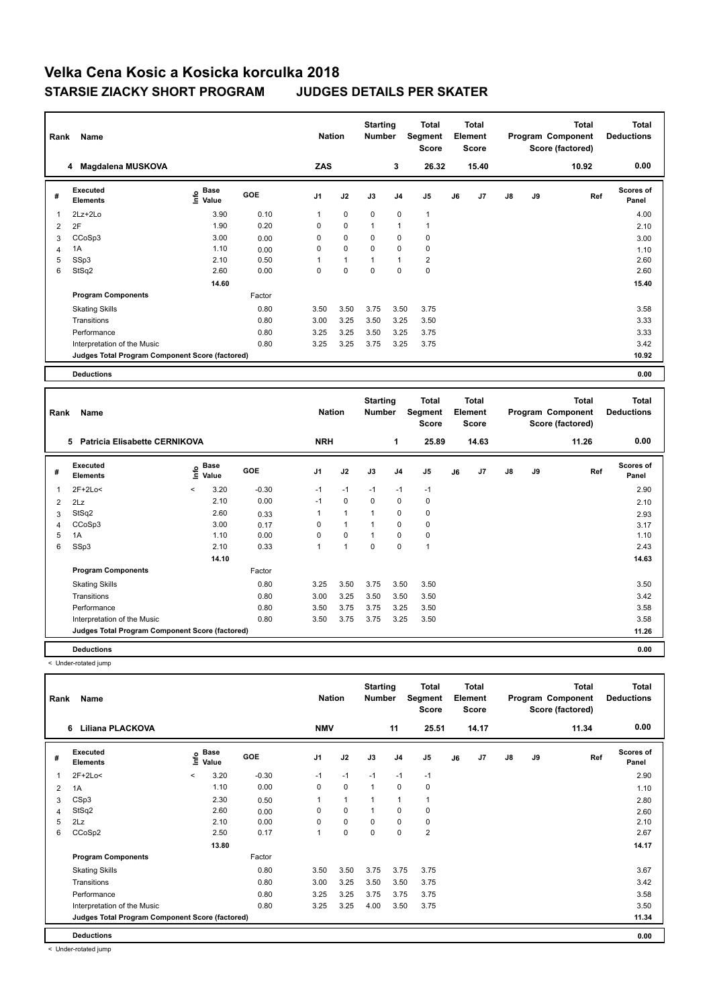| Rank | Name                                            |                                  |            | <b>Nation</b>  |              | <b>Starting</b><br><b>Number</b> |                | Total<br>Segment<br><b>Score</b> |    | <b>Total</b><br>Element<br><b>Score</b> |               |    | <b>Total</b><br>Program Component<br>Score (factored) | <b>Total</b><br><b>Deductions</b> |
|------|-------------------------------------------------|----------------------------------|------------|----------------|--------------|----------------------------------|----------------|----------------------------------|----|-----------------------------------------|---------------|----|-------------------------------------------------------|-----------------------------------|
|      | 4 Magdalena MUSKOVA                             |                                  |            | ZAS            |              |                                  | 3              | 26.32                            |    | 15.40                                   |               |    | 10.92                                                 | 0.00                              |
| #    | Executed<br><b>Elements</b>                     | <b>Base</b><br>e Base<br>⊆ Value | <b>GOE</b> | J <sub>1</sub> | J2           | J3                               | J <sub>4</sub> | J <sub>5</sub>                   | J6 | J7                                      | $\mathsf{J}8$ | J9 | Ref                                                   | <b>Scores of</b><br>Panel         |
| 1    | 2Lz+2Lo                                         | 3.90                             | 0.10       | 1              | $\mathbf 0$  | $\mathbf 0$                      | $\mathbf 0$    | $\mathbf{1}$                     |    |                                         |               |    |                                                       | 4.00                              |
| 2    | 2F                                              | 1.90                             | 0.20       | 0              | 0            | 1                                | $\mathbf{1}$   | $\overline{1}$                   |    |                                         |               |    |                                                       | 2.10                              |
| 3    | CCoSp3                                          | 3.00                             | 0.00       | 0              | $\mathbf 0$  | 0                                | 0              | 0                                |    |                                         |               |    |                                                       | 3.00                              |
| 4    | 1A                                              | 1.10                             | 0.00       | 0              | $\mathbf 0$  | $\mathbf 0$                      | $\mathbf 0$    | 0                                |    |                                         |               |    |                                                       | 1.10                              |
| 5    | SSp3                                            | 2.10                             | 0.50       |                | $\mathbf{1}$ |                                  | $\mathbf{1}$   | $\overline{\mathbf{c}}$          |    |                                         |               |    |                                                       | 2.60                              |
| 6    | StSq2                                           | 2.60                             | 0.00       | $\Omega$       | $\mathbf 0$  | $\mathbf 0$                      | $\mathbf 0$    | $\mathbf 0$                      |    |                                         |               |    |                                                       | 2.60                              |
|      |                                                 | 14.60                            |            |                |              |                                  |                |                                  |    |                                         |               |    |                                                       | 15.40                             |
|      | <b>Program Components</b>                       |                                  | Factor     |                |              |                                  |                |                                  |    |                                         |               |    |                                                       |                                   |
|      | <b>Skating Skills</b>                           |                                  | 0.80       | 3.50           | 3.50         | 3.75                             | 3.50           | 3.75                             |    |                                         |               |    |                                                       | 3.58                              |
|      | Transitions                                     |                                  | 0.80       | 3.00           | 3.25         | 3.50                             | 3.25           | 3.50                             |    |                                         |               |    |                                                       | 3.33                              |
|      | Performance                                     |                                  | 0.80       | 3.25           | 3.25         | 3.50                             | 3.25           | 3.75                             |    |                                         |               |    |                                                       | 3.33                              |
|      | Interpretation of the Music                     |                                  | 0.80       | 3.25           | 3.25         | 3.75                             | 3.25           | 3.75                             |    |                                         |               |    |                                                       | 3.42                              |
|      | Judges Total Program Component Score (factored) |                                  |            |                |              |                                  |                |                                  |    |                                         |               |    |                                                       | 10.92                             |
|      | <b>Deductions</b>                               |                                  |            |                |              |                                  |                |                                  |    |                                         |               |    |                                                       | 0.00                              |

| Rank           | Name                                            |         |                      |            | <b>Nation</b> |              | <b>Starting</b><br><b>Number</b> |                | <b>Total</b><br>Segment<br><b>Score</b> |    | <b>Total</b><br>Element<br><b>Score</b> |               |    | <b>Total</b><br>Program Component<br>Score (factored) | <b>Total</b><br><b>Deductions</b> |
|----------------|-------------------------------------------------|---------|----------------------|------------|---------------|--------------|----------------------------------|----------------|-----------------------------------------|----|-----------------------------------------|---------------|----|-------------------------------------------------------|-----------------------------------|
|                | <b>Patricia Elisabette CERNIKOVA</b><br>5       |         |                      |            | <b>NRH</b>    |              |                                  | 1              | 25.89                                   |    | 14.63                                   |               |    | 11.26                                                 | 0.00                              |
| #              | Executed<br><b>Elements</b>                     | lnfo    | <b>Base</b><br>Value | <b>GOE</b> | J1            | J2           | J3                               | J <sub>4</sub> | J <sub>5</sub>                          | J6 | J7                                      | $\mathsf{J}8$ | J9 | Ref                                                   | Scores of<br>Panel                |
| 1              | 2F+2Lo<                                         | $\,<\,$ | 3.20                 | $-0.30$    | $-1$          | $-1$         | $-1$                             | $-1$           | $-1$                                    |    |                                         |               |    |                                                       | 2.90                              |
| $\overline{2}$ | 2Lz                                             |         | 2.10                 | 0.00       | $-1$          | $\mathbf 0$  | $\Omega$                         | $\mathbf 0$    | $\mathbf 0$                             |    |                                         |               |    |                                                       | 2.10                              |
| 3              | StSq2                                           |         | 2.60                 | 0.33       |               | $\mathbf{1}$ | $\mathbf{1}$                     | 0              | 0                                       |    |                                         |               |    |                                                       | 2.93                              |
| 4              | CCoSp3                                          |         | 3.00                 | 0.17       | $\Omega$      | $\mathbf{1}$ | $\mathbf{1}$                     | $\mathbf 0$    | 0                                       |    |                                         |               |    |                                                       | 3.17                              |
| 5              | 1A                                              |         | 1.10                 | 0.00       | 0             | $\mathbf 0$  | $\mathbf{1}$                     | 0              | 0                                       |    |                                         |               |    |                                                       | 1.10                              |
| 6              | SSp3                                            |         | 2.10                 | 0.33       |               | $\mathbf{1}$ | 0                                | 0              | $\overline{1}$                          |    |                                         |               |    |                                                       | 2.43                              |
|                |                                                 |         | 14.10                |            |               |              |                                  |                |                                         |    |                                         |               |    |                                                       | 14.63                             |
|                | <b>Program Components</b>                       |         |                      | Factor     |               |              |                                  |                |                                         |    |                                         |               |    |                                                       |                                   |
|                | <b>Skating Skills</b>                           |         |                      | 0.80       | 3.25          | 3.50         | 3.75                             | 3.50           | 3.50                                    |    |                                         |               |    |                                                       | 3.50                              |
|                | Transitions                                     |         |                      | 0.80       | 3.00          | 3.25         | 3.50                             | 3.50           | 3.50                                    |    |                                         |               |    |                                                       | 3.42                              |
|                | Performance                                     |         |                      | 0.80       | 3.50          | 3.75         | 3.75                             | 3.25           | 3.50                                    |    |                                         |               |    |                                                       | 3.58                              |
|                | Interpretation of the Music                     |         |                      | 0.80       | 3.50          | 3.75         | 3.75                             | 3.25           | 3.50                                    |    |                                         |               |    |                                                       | 3.58                              |
|                | Judges Total Program Component Score (factored) |         |                      |            |               |              |                                  |                |                                         |    |                                         |               |    |                                                       | 11.26                             |
|                | <b>Deductions</b>                               |         |                      |            |               |              |                                  |                |                                         |    |                                         |               |    |                                                       | 0.00                              |

< Under-rotated jump

| Rank           | Name                                            |         |                      |            | <b>Nation</b>  |              | <b>Starting</b><br><b>Number</b> |                | Total<br>Segment<br><b>Score</b> |    | <b>Total</b><br>Element<br>Score |               |    | <b>Total</b><br>Program Component<br>Score (factored) | <b>Total</b><br><b>Deductions</b> |
|----------------|-------------------------------------------------|---------|----------------------|------------|----------------|--------------|----------------------------------|----------------|----------------------------------|----|----------------------------------|---------------|----|-------------------------------------------------------|-----------------------------------|
|                | <b>Liliana PLACKOVA</b><br>6                    |         |                      |            | <b>NMV</b>     |              |                                  | 11             | 25.51                            |    | 14.17                            |               |    | 11.34                                                 | 0.00                              |
| #              | Executed<br><b>Elements</b>                     | Info    | <b>Base</b><br>Value | <b>GOE</b> | J <sub>1</sub> | J2           | J3                               | J <sub>4</sub> | J5                               | J6 | J7                               | $\mathsf{J}8$ | J9 | Ref                                                   | <b>Scores of</b><br>Panel         |
| $\overline{1}$ | 2F+2Lo<                                         | $\prec$ | 3.20                 | $-0.30$    | $-1$           | $-1$         | $-1$                             | $-1$           | $-1$                             |    |                                  |               |    |                                                       | 2.90                              |
| $\overline{2}$ | 1A                                              |         | 1.10                 | 0.00       | 0              | 0            | $\mathbf{1}$                     | 0              | 0                                |    |                                  |               |    |                                                       | 1.10                              |
| 3              | CSp3                                            |         | 2.30                 | 0.50       | 1              | $\mathbf{1}$ | $\mathbf{1}$                     | $\mathbf{1}$   | $\overline{1}$                   |    |                                  |               |    |                                                       | 2.80                              |
| $\overline{4}$ | StSq2                                           |         | 2.60                 | 0.00       | 0              | 0            | $\mathbf{1}$                     | 0              | 0                                |    |                                  |               |    |                                                       | 2.60                              |
| 5              | 2Lz                                             |         | 2.10                 | 0.00       | 0              | 0            | 0                                | 0              | 0                                |    |                                  |               |    |                                                       | 2.10                              |
| 6              | CCoSp2                                          |         | 2.50                 | 0.17       | 1              | 0            | 0                                | 0              | $\overline{2}$                   |    |                                  |               |    |                                                       | 2.67                              |
|                |                                                 |         | 13.80                |            |                |              |                                  |                |                                  |    |                                  |               |    |                                                       | 14.17                             |
|                | <b>Program Components</b>                       |         |                      | Factor     |                |              |                                  |                |                                  |    |                                  |               |    |                                                       |                                   |
|                | <b>Skating Skills</b>                           |         |                      | 0.80       | 3.50           | 3.50         | 3.75                             | 3.75           | 3.75                             |    |                                  |               |    |                                                       | 3.67                              |
|                | Transitions                                     |         |                      | 0.80       | 3.00           | 3.25         | 3.50                             | 3.50           | 3.75                             |    |                                  |               |    |                                                       | 3.42                              |
|                | Performance                                     |         |                      | 0.80       | 3.25           | 3.25         | 3.75                             | 3.75           | 3.75                             |    |                                  |               |    |                                                       | 3.58                              |
|                | Interpretation of the Music                     |         |                      | 0.80       | 3.25           | 3.25         | 4.00                             | 3.50           | 3.75                             |    |                                  |               |    |                                                       | 3.50                              |
|                | Judges Total Program Component Score (factored) |         |                      |            |                |              |                                  |                |                                  |    |                                  |               |    |                                                       | 11.34                             |
|                | <b>Deductions</b>                               |         |                      |            |                |              |                                  |                |                                  |    |                                  |               |    |                                                       | 0.00                              |

< Under-rotated jump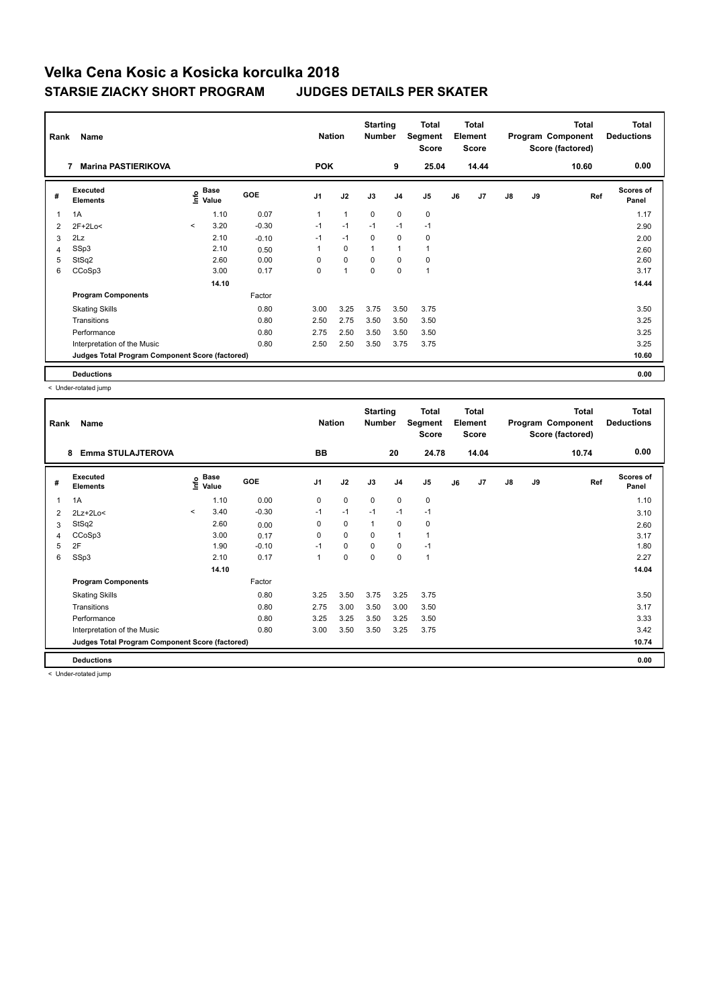| Rank           | Name                                            |         |                                  |            | <b>Nation</b>  |                      | <b>Starting</b><br><b>Number</b> |              | <b>Total</b><br>Segment<br><b>Score</b> |    | <b>Total</b><br>Element<br><b>Score</b> |               |    | <b>Total</b><br>Program Component<br>Score (factored) | <b>Total</b><br><b>Deductions</b> |
|----------------|-------------------------------------------------|---------|----------------------------------|------------|----------------|----------------------|----------------------------------|--------------|-----------------------------------------|----|-----------------------------------------|---------------|----|-------------------------------------------------------|-----------------------------------|
|                | <b>Marina PASTIERIKOVA</b><br>7                 |         |                                  |            | <b>POK</b>     |                      |                                  | 9            | 25.04                                   |    | 14.44                                   |               |    | 10.60                                                 | 0.00                              |
| #              | Executed<br><b>Elements</b>                     |         | <b>Base</b><br>e Base<br>⊆ Value | <b>GOE</b> | J <sub>1</sub> | J2                   | J3                               | J4           | J <sub>5</sub>                          | J6 | J7                                      | $\mathsf{J}8$ | J9 | Ref                                                   | <b>Scores of</b><br>Panel         |
| 1              | 1A                                              |         | 1.10                             | 0.07       | $\mathbf{1}$   | $\mathbf{1}$         | $\mathbf 0$                      | $\mathbf 0$  | 0                                       |    |                                         |               |    |                                                       | 1.17                              |
| 2              | $2F+2Lo<$                                       | $\prec$ | 3.20                             | $-0.30$    | $-1$           | $-1$                 | $-1$                             | $-1$         | $-1$                                    |    |                                         |               |    |                                                       | 2.90                              |
| 3              | 2Lz                                             |         | 2.10                             | $-0.10$    | $-1$           | $-1$                 | 0                                | 0            | 0                                       |    |                                         |               |    |                                                       | 2.00                              |
| $\overline{4}$ | SSp3                                            |         | 2.10                             | 0.50       |                | $\mathbf 0$          | $\overline{1}$                   | $\mathbf{1}$ |                                         |    |                                         |               |    |                                                       | 2.60                              |
| 5              | StSq2                                           |         | 2.60                             | 0.00       | 0              | $\mathbf 0$          | $\mathbf 0$                      | $\mathbf 0$  | 0                                       |    |                                         |               |    |                                                       | 2.60                              |
| 6              | CCoSp3                                          |         | 3.00                             | 0.17       | 0              | $\blacktriangleleft$ | $\mathbf 0$                      | $\mathbf 0$  | 1                                       |    |                                         |               |    |                                                       | 3.17                              |
|                |                                                 |         | 14.10                            |            |                |                      |                                  |              |                                         |    |                                         |               |    |                                                       | 14.44                             |
|                | <b>Program Components</b>                       |         |                                  | Factor     |                |                      |                                  |              |                                         |    |                                         |               |    |                                                       |                                   |
|                | <b>Skating Skills</b>                           |         |                                  | 0.80       | 3.00           | 3.25                 | 3.75                             | 3.50         | 3.75                                    |    |                                         |               |    |                                                       | 3.50                              |
|                | Transitions                                     |         |                                  | 0.80       | 2.50           | 2.75                 | 3.50                             | 3.50         | 3.50                                    |    |                                         |               |    |                                                       | 3.25                              |
|                | Performance                                     |         |                                  | 0.80       | 2.75           | 2.50                 | 3.50                             | 3.50         | 3.50                                    |    |                                         |               |    |                                                       | 3.25                              |
|                | Interpretation of the Music                     |         |                                  | 0.80       | 2.50           | 2.50                 | 3.50                             | 3.75         | 3.75                                    |    |                                         |               |    |                                                       | 3.25                              |
|                | Judges Total Program Component Score (factored) |         |                                  |            |                |                      |                                  |              |                                         |    |                                         |               |    |                                                       | 10.60                             |
|                | <b>Deductions</b>                               |         |                                  |            |                |                      |                                  |              |                                         |    |                                         |               |    |                                                       | 0.00                              |

< Under-rotated jump

| Rank | Name                                            |         |                   |            | <b>Nation</b>  |             | <b>Starting</b><br><b>Number</b> |                | <b>Total</b><br>Segment<br><b>Score</b> |    | <b>Total</b><br>Element<br><b>Score</b> |               |    | <b>Total</b><br>Program Component<br>Score (factored) | <b>Total</b><br><b>Deductions</b> |
|------|-------------------------------------------------|---------|-------------------|------------|----------------|-------------|----------------------------------|----------------|-----------------------------------------|----|-----------------------------------------|---------------|----|-------------------------------------------------------|-----------------------------------|
|      | <b>Emma STULAJTEROVA</b><br>8                   |         |                   |            | BB             |             |                                  | 20             | 24.78                                   |    | 14.04                                   |               |    | 10.74                                                 | 0.00                              |
| #    | Executed<br><b>Elements</b>                     |         | e Base<br>E Value | <b>GOE</b> | J <sub>1</sub> | J2          | J3                               | J <sub>4</sub> | J <sub>5</sub>                          | J6 | J <sub>7</sub>                          | $\mathsf{J}8$ | J9 | Ref                                                   | <b>Scores of</b><br>Panel         |
| 1    | 1A                                              |         | 1.10              | 0.00       | 0              | $\mathbf 0$ | $\mathbf 0$                      | $\mathbf 0$    | $\pmb{0}$                               |    |                                         |               |    |                                                       | 1.10                              |
| 2    | $2Lz+2Lo<$                                      | $\prec$ | 3.40              | $-0.30$    | $-1$           | $-1$        | $-1$                             | $-1$           | $-1$                                    |    |                                         |               |    |                                                       | 3.10                              |
| 3    | StSq2                                           |         | 2.60              | 0.00       | 0              | $\mathbf 0$ | $\overline{1}$                   | 0              | $\pmb{0}$                               |    |                                         |               |    |                                                       | 2.60                              |
| 4    | CCoSp3                                          |         | 3.00              | 0.17       | 0              | $\mathbf 0$ | 0                                | $\overline{1}$ |                                         |    |                                         |               |    |                                                       | 3.17                              |
| 5    | 2F                                              |         | 1.90              | $-0.10$    | $-1$           | $\mathbf 0$ | $\Omega$                         | $\mathbf 0$    | $-1$                                    |    |                                         |               |    |                                                       | 1.80                              |
| 6    | SSp3                                            |         | 2.10              | 0.17       | 1              | $\mathbf 0$ | $\mathbf 0$                      | $\mathbf 0$    | $\mathbf{1}$                            |    |                                         |               |    |                                                       | 2.27                              |
|      |                                                 |         | 14.10             |            |                |             |                                  |                |                                         |    |                                         |               |    |                                                       | 14.04                             |
|      | <b>Program Components</b>                       |         |                   | Factor     |                |             |                                  |                |                                         |    |                                         |               |    |                                                       |                                   |
|      | <b>Skating Skills</b>                           |         |                   | 0.80       | 3.25           | 3.50        | 3.75                             | 3.25           | 3.75                                    |    |                                         |               |    |                                                       | 3.50                              |
|      | Transitions                                     |         |                   | 0.80       | 2.75           | 3.00        | 3.50                             | 3.00           | 3.50                                    |    |                                         |               |    |                                                       | 3.17                              |
|      | Performance                                     |         |                   | 0.80       | 3.25           | 3.25        | 3.50                             | 3.25           | 3.50                                    |    |                                         |               |    |                                                       | 3.33                              |
|      | Interpretation of the Music                     |         |                   | 0.80       | 3.00           | 3.50        | 3.50                             | 3.25           | 3.75                                    |    |                                         |               |    |                                                       | 3.42                              |
|      | Judges Total Program Component Score (factored) |         |                   |            |                |             |                                  |                |                                         |    |                                         |               |    |                                                       | 10.74                             |
|      | <b>Deductions</b>                               |         |                   |            |                |             |                                  |                |                                         |    |                                         |               |    |                                                       | 0.00                              |

< Under-rotated jump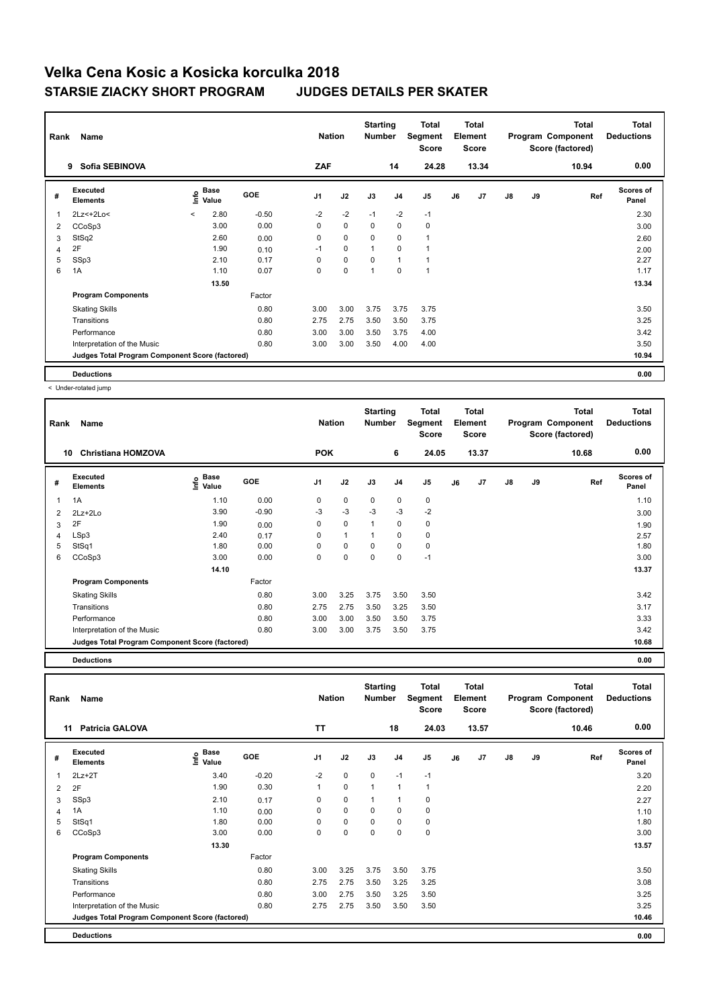| Rank           | Name                                            |         |                      |            | <b>Nation</b>  |             | <b>Starting</b><br><b>Number</b> |              | Total<br>Segment<br><b>Score</b> |    | <b>Total</b><br>Element<br><b>Score</b> |               |    | <b>Total</b><br>Program Component<br>Score (factored) | <b>Total</b><br><b>Deductions</b> |
|----------------|-------------------------------------------------|---------|----------------------|------------|----------------|-------------|----------------------------------|--------------|----------------------------------|----|-----------------------------------------|---------------|----|-------------------------------------------------------|-----------------------------------|
|                | Sofia SEBINOVA<br>9                             |         |                      |            | ZAF            |             |                                  | 14           | 24.28                            |    | 13.34                                   |               |    | 10.94                                                 | 0.00                              |
| #              | Executed<br><b>Elements</b>                     | lnfo    | <b>Base</b><br>Value | <b>GOE</b> | J <sub>1</sub> | J2          | J3                               | J4           | J <sub>5</sub>                   | J6 | J7                                      | $\mathsf{J}8$ | J9 | Ref                                                   | <b>Scores of</b><br>Panel         |
| $\overline{1}$ | 2Lz <+ 2Lo <                                    | $\prec$ | 2.80                 | $-0.50$    | $-2$           | $-2$        | $-1$                             | $-2$         | $-1$                             |    |                                         |               |    |                                                       | 2.30                              |
| 2              | CCoSp3                                          |         | 3.00                 | 0.00       | 0              | $\mathbf 0$ | $\mathbf 0$                      | $\mathbf 0$  | 0                                |    |                                         |               |    |                                                       | 3.00                              |
| 3              | StSq2                                           |         | 2.60                 | 0.00       | 0              | 0           | 0                                | 0            | 1                                |    |                                         |               |    |                                                       | 2.60                              |
| $\overline{4}$ | 2F                                              |         | 1.90                 | 0.10       | $-1$           | $\mathbf 0$ | 1                                | $\mathbf 0$  |                                  |    |                                         |               |    |                                                       | 2.00                              |
| 5              | SSp3                                            |         | 2.10                 | 0.17       | 0              | $\pmb{0}$   | 0                                | $\mathbf{1}$ | 1                                |    |                                         |               |    |                                                       | 2.27                              |
| 6              | 1A                                              |         | 1.10                 | 0.07       | $\mathbf 0$    | $\mathbf 0$ | 1                                | $\mathbf 0$  | 1                                |    |                                         |               |    |                                                       | 1.17                              |
|                |                                                 |         | 13.50                |            |                |             |                                  |              |                                  |    |                                         |               |    |                                                       | 13.34                             |
|                | <b>Program Components</b>                       |         |                      | Factor     |                |             |                                  |              |                                  |    |                                         |               |    |                                                       |                                   |
|                | <b>Skating Skills</b>                           |         |                      | 0.80       | 3.00           | 3.00        | 3.75                             | 3.75         | 3.75                             |    |                                         |               |    |                                                       | 3.50                              |
|                | Transitions                                     |         |                      | 0.80       | 2.75           | 2.75        | 3.50                             | 3.50         | 3.75                             |    |                                         |               |    |                                                       | 3.25                              |
|                | Performance                                     |         |                      | 0.80       | 3.00           | 3.00        | 3.50                             | 3.75         | 4.00                             |    |                                         |               |    |                                                       | 3.42                              |
|                | Interpretation of the Music                     |         |                      | 0.80       | 3.00           | 3.00        | 3.50                             | 4.00         | 4.00                             |    |                                         |               |    |                                                       | 3.50                              |
|                | Judges Total Program Component Score (factored) |         |                      |            |                |             |                                  |              |                                  |    |                                         |               |    |                                                       | 10.94                             |
|                | <b>Deductions</b>                               |         |                      |            |                |             |                                  |              |                                  |    |                                         |               |    |                                                       | 0.00                              |

< Under-rotated jump

| Rank | Name                                            |                              |         | <b>Nation</b>  |              | <b>Starting</b><br><b>Number</b> |                | <b>Total</b><br>Segment<br><b>Score</b> |    | Total<br>Element<br><b>Score</b> |    |    | <b>Total</b><br>Program Component<br>Score (factored) | <b>Total</b><br><b>Deductions</b> |
|------|-------------------------------------------------|------------------------------|---------|----------------|--------------|----------------------------------|----------------|-----------------------------------------|----|----------------------------------|----|----|-------------------------------------------------------|-----------------------------------|
|      | <b>Christiana HOMZOVA</b><br>10                 |                              |         | <b>POK</b>     |              |                                  | 6              | 24.05                                   |    | 13.37                            |    |    | 10.68                                                 | 0.00                              |
| #    | Executed<br><b>Elements</b>                     | <b>Base</b><br>١nf٥<br>Value | GOE     | J <sub>1</sub> | J2           | J3                               | J <sub>4</sub> | J <sub>5</sub>                          | J6 | J7                               | J8 | J9 | Ref                                                   | Scores of<br>Panel                |
| 1    | 1A                                              | 1.10                         | 0.00    | 0              | $\mathbf 0$  | $\mathbf 0$                      | $\pmb{0}$      | $\mathbf 0$                             |    |                                  |    |    |                                                       | 1.10                              |
| 2    | $2Lz+2Lo$                                       | 3.90                         | $-0.90$ | -3             | $-3$         | $-3$                             | $-3$           | $-2$                                    |    |                                  |    |    |                                                       | 3.00                              |
| 3    | 2F                                              | 1.90                         | 0.00    | $\Omega$       | $\mathbf 0$  | 1                                | $\mathbf 0$    | $\mathbf 0$                             |    |                                  |    |    |                                                       | 1.90                              |
| 4    | LSp3                                            | 2.40                         | 0.17    | 0              | $\mathbf{1}$ |                                  | $\mathbf 0$    | $\pmb{0}$                               |    |                                  |    |    |                                                       | 2.57                              |
| 5    | StSq1                                           | 1.80                         | 0.00    | 0              | $\mathbf 0$  | 0                                | $\mathbf 0$    | $\pmb{0}$                               |    |                                  |    |    |                                                       | 1.80                              |
| 6    | CCoSp3                                          | 3.00                         | 0.00    | 0              | $\mathbf 0$  | 0                                | 0              | $-1$                                    |    |                                  |    |    |                                                       | 3.00                              |
|      |                                                 | 14.10                        |         |                |              |                                  |                |                                         |    |                                  |    |    |                                                       | 13.37                             |
|      | <b>Program Components</b>                       |                              | Factor  |                |              |                                  |                |                                         |    |                                  |    |    |                                                       |                                   |
|      | <b>Skating Skills</b>                           |                              | 0.80    | 3.00           | 3.25         | 3.75                             | 3.50           | 3.50                                    |    |                                  |    |    |                                                       | 3.42                              |
|      | Transitions                                     |                              | 0.80    | 2.75           | 2.75         | 3.50                             | 3.25           | 3.50                                    |    |                                  |    |    |                                                       | 3.17                              |
|      | Performance                                     |                              | 0.80    | 3.00           | 3.00         | 3.50                             | 3.50           | 3.75                                    |    |                                  |    |    |                                                       | 3.33                              |
|      | Interpretation of the Music                     |                              | 0.80    | 3.00           | 3.00         | 3.75                             | 3.50           | 3.75                                    |    |                                  |    |    |                                                       | 3.42                              |
|      | Judges Total Program Component Score (factored) |                              |         |                |              |                                  |                |                                         |    |                                  |    |    |                                                       | 10.68                             |

**Deductions 0.00**

**Total Deductions Total Program Component Score (factored) Total Element Score Total Segment Score Starting Rank Name Nation Number # Executed Elements Base Value GOE J1 J2 J3 J4 J5 J6 J7 J8 J9 Scores of Panel** 1 3.40 -0.20 -2 0 0 -1 -1 **Ref**  سماء المسلمة المسلمة المسلمة المسلمة المسلمة المسلمة المسلمة المسلمة المسلمة المسلمة المسلمة المسلمة المسلمة ا<br>12Lz+2T 3.40 -0.20 -2 0 0 -1 -1<br>2Lz+2T 3.20 -0.20 -2 0 0 -1 -1 **11 Patricia GALOVA TT 18 24.03 13.57 10.46 0.00** 2 2F 1.90 0.30 1 0 1 1 1 2.20 3 SSp3 2.10 0.17 0 0 1 1 0 2.27 4 1A 1.10 0.00 0 0 0 0 0 1.10 5 StSq1 1.80 0.00 0 0 0 0 0 1.80 6 CCoSp3 3.00 0.00 0 0 0 0 0 3.00  **13.30** 13.57 **Program Components**  Skating Skills 3.00 3.25 3.75 3.50 3.75 Factor 0.80 3.50 Transitions 0.80 2.75 2.75 3.50 3.25 3.25 3.08 Performance 0.80 3.00 2.75 3.50 3.25 3.50 3.25 Interpretation of the Music **0.80** 2.75 2.75 3.50 3.50 3.50 3.50 **Deductions 0.00 Judges Total Program Component Score (factored) 10.46**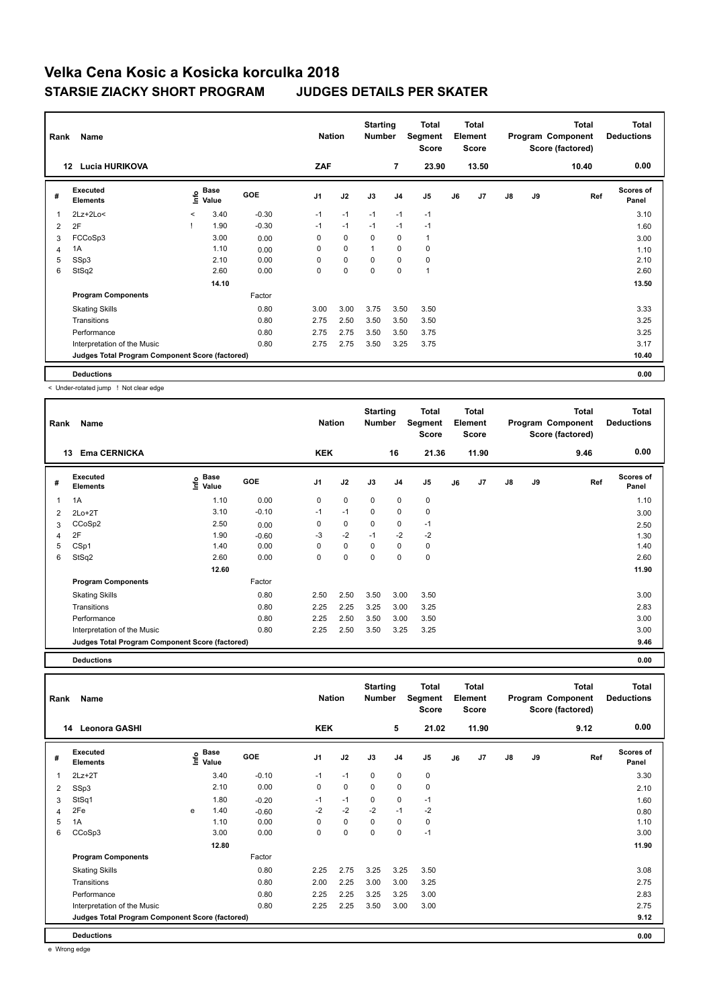| Rank           | Name                                            |              |                      |            | <b>Nation</b>  |             | <b>Starting</b><br><b>Number</b> |                | Total<br>Segment<br><b>Score</b> |    | <b>Total</b><br>Element<br><b>Score</b> |    |    | <b>Total</b><br>Program Component<br>Score (factored) | <b>Total</b><br><b>Deductions</b> |
|----------------|-------------------------------------------------|--------------|----------------------|------------|----------------|-------------|----------------------------------|----------------|----------------------------------|----|-----------------------------------------|----|----|-------------------------------------------------------|-----------------------------------|
|                | <b>Lucia HURIKOVA</b><br>12                     |              |                      |            | <b>ZAF</b>     |             |                                  | $\overline{7}$ | 23.90                            |    | 13.50                                   |    |    | 10.40                                                 | 0.00                              |
| #              | Executed<br><b>Elements</b>                     | lnfo         | <b>Base</b><br>Value | <b>GOE</b> | J <sub>1</sub> | J2          | J3                               | J <sub>4</sub> | J5                               | J6 | J7                                      | J8 | J9 | Ref                                                   | <b>Scores of</b><br>Panel         |
| $\overline{1}$ | $2Lz+2Lo<$                                      | $\checkmark$ | 3.40                 | $-0.30$    | $-1$           | $-1$        | $-1$                             | $-1$           | $-1$                             |    |                                         |    |    |                                                       | 3.10                              |
| $\overline{2}$ | 2F                                              |              | 1.90                 | $-0.30$    | $-1$           | $-1$        | $-1$                             | $-1$           | $-1$                             |    |                                         |    |    |                                                       | 1.60                              |
| 3              | FCCoSp3                                         |              | 3.00                 | 0.00       | 0              | $\mathbf 0$ | 0                                | 0              | $\mathbf{1}$                     |    |                                         |    |    |                                                       | 3.00                              |
| $\overline{4}$ | 1A                                              |              | 1.10                 | 0.00       | 0              | $\mathbf 0$ | $\overline{1}$                   | $\mathbf 0$    | $\pmb{0}$                        |    |                                         |    |    |                                                       | 1.10                              |
| 5              | SSp3                                            |              | 2.10                 | 0.00       | 0              | $\mathbf 0$ | 0                                | $\mathbf 0$    | $\pmb{0}$                        |    |                                         |    |    |                                                       | 2.10                              |
| 6              | StSq2                                           |              | 2.60                 | 0.00       | 0              | $\mathbf 0$ | $\mathbf 0$                      | $\mathbf 0$    | $\mathbf{1}$                     |    |                                         |    |    |                                                       | 2.60                              |
|                |                                                 |              | 14.10                |            |                |             |                                  |                |                                  |    |                                         |    |    |                                                       | 13.50                             |
|                | <b>Program Components</b>                       |              |                      | Factor     |                |             |                                  |                |                                  |    |                                         |    |    |                                                       |                                   |
|                | <b>Skating Skills</b>                           |              |                      | 0.80       | 3.00           | 3.00        | 3.75                             | 3.50           | 3.50                             |    |                                         |    |    |                                                       | 3.33                              |
|                | Transitions                                     |              |                      | 0.80       | 2.75           | 2.50        | 3.50                             | 3.50           | 3.50                             |    |                                         |    |    |                                                       | 3.25                              |
|                | Performance                                     |              |                      | 0.80       | 2.75           | 2.75        | 3.50                             | 3.50           | 3.75                             |    |                                         |    |    |                                                       | 3.25                              |
|                | Interpretation of the Music                     |              |                      | 0.80       | 2.75           | 2.75        | 3.50                             | 3.25           | 3.75                             |    |                                         |    |    |                                                       | 3.17                              |
|                | Judges Total Program Component Score (factored) |              |                      |            |                |             |                                  |                |                                  |    |                                         |    |    |                                                       | 10.40                             |
|                | <b>Deductions</b>                               |              |                      |            |                |             |                                  |                |                                  |    |                                         |    |    |                                                       | 0.00                              |

< Under-rotated jump ! Not clear edge

| Rank | Name<br><b>Ema CERNICKA</b><br>13               |                       |            | <b>Nation</b><br><b>KEK</b> |             | <b>Starting</b><br><b>Number</b> | 16             | Total<br>Segment<br><b>Score</b><br>21.36 |    | <b>Total</b><br>Element<br><b>Score</b><br>11.90 |               |    | <b>Total</b><br>Program Component<br>Score (factored)<br>9.46 | <b>Total</b><br><b>Deductions</b><br>0.00 |
|------|-------------------------------------------------|-----------------------|------------|-----------------------------|-------------|----------------------------------|----------------|-------------------------------------------|----|--------------------------------------------------|---------------|----|---------------------------------------------------------------|-------------------------------------------|
|      |                                                 |                       |            |                             |             |                                  |                |                                           |    |                                                  |               |    |                                                               |                                           |
| #    | Executed<br><b>Elements</b>                     | Base<br>١nf٥<br>Value | <b>GOE</b> | J <sub>1</sub>              | J2          | J3                               | J <sub>4</sub> | J <sub>5</sub>                            | J6 | J7                                               | $\mathsf{J}8$ | J9 | Ref                                                           | <b>Scores of</b><br>Panel                 |
| 1    | 1A                                              | 1.10                  | 0.00       | 0                           | 0           | $\mathbf 0$                      | 0              | 0                                         |    |                                                  |               |    |                                                               | 1.10                                      |
| 2    | $2Lo+2T$                                        | 3.10                  | $-0.10$    | $-1$                        | $-1$        | $\mathbf 0$                      | 0              | $\pmb{0}$                                 |    |                                                  |               |    |                                                               | 3.00                                      |
| 3    | CCoSp2                                          | 2.50                  | 0.00       | 0                           | 0           | $\mathbf 0$                      | 0              | $-1$                                      |    |                                                  |               |    |                                                               | 2.50                                      |
| 4    | 2F                                              | 1.90                  | $-0.60$    | -3                          | $-2$        | $-1$                             | $-2$           | $-2$                                      |    |                                                  |               |    |                                                               | 1.30                                      |
| 5    | CSp1                                            | 1.40                  | 0.00       | $\Omega$                    | $\mathbf 0$ | $\Omega$                         | $\mathbf 0$    | 0                                         |    |                                                  |               |    |                                                               | 1.40                                      |
| 6    | StSq2                                           | 2.60                  | 0.00       | $\Omega$                    | 0           | $\Omega$                         | $\mathbf 0$    | $\mathbf 0$                               |    |                                                  |               |    |                                                               | 2.60                                      |
|      |                                                 | 12.60                 |            |                             |             |                                  |                |                                           |    |                                                  |               |    |                                                               | 11.90                                     |
|      | <b>Program Components</b>                       |                       | Factor     |                             |             |                                  |                |                                           |    |                                                  |               |    |                                                               |                                           |
|      | <b>Skating Skills</b>                           |                       | 0.80       | 2.50                        | 2.50        | 3.50                             | 3.00           | 3.50                                      |    |                                                  |               |    |                                                               | 3.00                                      |
|      | Transitions                                     |                       | 0.80       | 2.25                        | 2.25        | 3.25                             | 3.00           | 3.25                                      |    |                                                  |               |    |                                                               | 2.83                                      |
|      | Performance                                     |                       | 0.80       | 2.25                        | 2.50        | 3.50                             | 3.00           | 3.50                                      |    |                                                  |               |    |                                                               | 3.00                                      |
|      | Interpretation of the Music                     |                       | 0.80       | 2.25                        | 2.50        | 3.50                             | 3.25           | 3.25                                      |    |                                                  |               |    |                                                               | 3.00                                      |
|      | Judges Total Program Component Score (factored) |                       |            |                             |             |                                  |                |                                           |    |                                                  |               |    |                                                               | 9.46                                      |

**Deductions 0.00**

**Total Deductions Total Program Component Score (factored) Total Element Score Total Segment Score Starting Rank Name Nation Number # Executed Elements Base Value GOE J1 J2 J3 J4 J5 J6 J7 J8 J9 Scores of Panel** 1 3.40 -0.10 -1 -1 0 0 0 **Ref**  2Lz+2T 3.30 **Info 14 Leonora GASHI KEK 5 21.02 11.90 9.12 0.00** 2 SSp3 2.10 0.00 0 0 0 0 0 2.10 3 StSq1 1.80 -0.20 -1 -1 0 0 -1 1.60 4 2Fe e 1.40 -0.60 -2 -2 -2 -1 -2 0.80 5 1A 1.10 0.00 0 0 0 0 0 1.10 6 CCoSp3 3.00 0.00 0 0 0 0 -1 3.00  **12.80 11.90 Program Components**  Skating Skills 2.25 2.75 3.25 3.50 Factor 0.80 2.25 2.75 3.25 3.25 3.50 Transitions 0.80 2.00 2.25 3.00 3.00 3.25 2.75 Performance 0.80 2.25 2.25 3.25 3.25 3.00 2.83 Interpretation of the Music 0.80 2.25 2.25 3.50 3.00 3.00 2.75 **Deductions 0.00 Judges Total Program Component Score (factored) 9.12**

e Wrong edge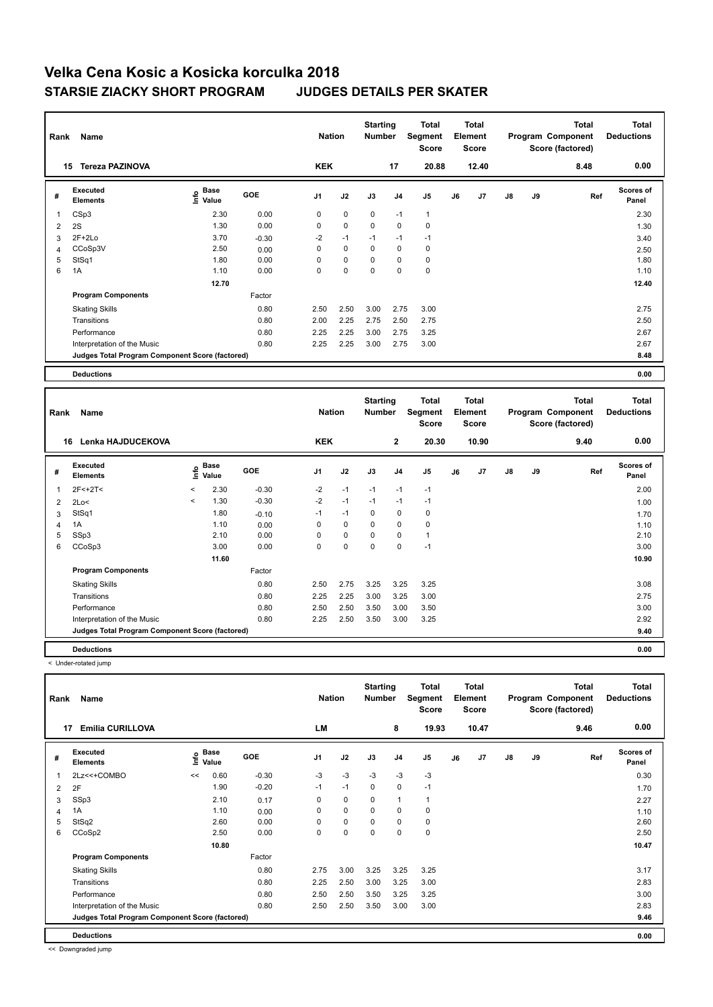| Rank | Name                                            |                                  |         | <b>Nation</b>  |             | <b>Starting</b><br><b>Number</b> |                | Total<br>Segment<br><b>Score</b> |    | <b>Total</b><br>Element<br><b>Score</b> |    |    | <b>Total</b><br>Program Component<br>Score (factored) | <b>Total</b><br><b>Deductions</b> |
|------|-------------------------------------------------|----------------------------------|---------|----------------|-------------|----------------------------------|----------------|----------------------------------|----|-----------------------------------------|----|----|-------------------------------------------------------|-----------------------------------|
|      | <b>Tereza PAZINOVA</b><br>15                    |                                  |         | <b>KEK</b>     |             |                                  | 17             | 20.88                            |    | 12.40                                   |    |    | 8.48                                                  | 0.00                              |
| #    | Executed<br><b>Elements</b>                     | <b>Base</b><br>e Base<br>⊆ Value | GOE     | J <sub>1</sub> | J2          | J3                               | J <sub>4</sub> | J <sub>5</sub>                   | J6 | J7                                      | J8 | J9 | Ref                                                   | <b>Scores of</b><br>Panel         |
|      | CSp3                                            | 2.30                             | 0.00    | 0              | $\mathbf 0$ | $\mathbf 0$                      | $-1$           | $\mathbf{1}$                     |    |                                         |    |    |                                                       | 2.30                              |
| 2    | 2S                                              | 1.30                             | 0.00    | 0              | $\mathbf 0$ | 0                                | 0              | 0                                |    |                                         |    |    |                                                       | 1.30                              |
| 3    | $2F+2Lo$                                        | 3.70                             | $-0.30$ | $-2$           | $-1$        | $-1$                             | $-1$           | $-1$                             |    |                                         |    |    |                                                       | 3.40                              |
| 4    | CCoSp3V                                         | 2.50                             | 0.00    | 0              | $\mathbf 0$ | $\mathbf 0$                      | $\mathbf 0$    | 0                                |    |                                         |    |    |                                                       | 2.50                              |
| 5    | StSq1                                           | 1.80                             | 0.00    | 0              | 0           | 0                                | 0              | 0                                |    |                                         |    |    |                                                       | 1.80                              |
| 6    | 1A                                              | 1.10                             | 0.00    | 0              | $\mathbf 0$ | $\mathbf 0$                      | $\mathbf 0$    | $\mathbf 0$                      |    |                                         |    |    |                                                       | 1.10                              |
|      |                                                 | 12.70                            |         |                |             |                                  |                |                                  |    |                                         |    |    |                                                       | 12.40                             |
|      | <b>Program Components</b>                       |                                  | Factor  |                |             |                                  |                |                                  |    |                                         |    |    |                                                       |                                   |
|      | <b>Skating Skills</b>                           |                                  | 0.80    | 2.50           | 2.50        | 3.00                             | 2.75           | 3.00                             |    |                                         |    |    |                                                       | 2.75                              |
|      | Transitions                                     |                                  | 0.80    | 2.00           | 2.25        | 2.75                             | 2.50           | 2.75                             |    |                                         |    |    |                                                       | 2.50                              |
|      | Performance                                     |                                  | 0.80    | 2.25           | 2.25        | 3.00                             | 2.75           | 3.25                             |    |                                         |    |    |                                                       | 2.67                              |
|      | Interpretation of the Music                     |                                  | 0.80    | 2.25           | 2.25        | 3.00                             | 2.75           | 3.00                             |    |                                         |    |    |                                                       | 2.67                              |
|      | Judges Total Program Component Score (factored) |                                  |         |                |             |                                  |                |                                  |    |                                         |    |    |                                                       | 8.48                              |
|      | <b>Deductions</b>                               |                                  |         |                |             |                                  |                |                                  |    |                                         |    |    |                                                       | 0.00                              |

| Rank | Name                                            |         | <b>Nation</b>        |            | <b>Starting</b><br><b>Number</b> | Total<br>Segment<br><b>Score</b> | <b>Total</b><br>Element<br><b>Score</b> |              |              |    | <b>Total</b><br>Program Component<br>Score (factored) | Total<br><b>Deductions</b> |    |      |                           |
|------|-------------------------------------------------|---------|----------------------|------------|----------------------------------|----------------------------------|-----------------------------------------|--------------|--------------|----|-------------------------------------------------------|----------------------------|----|------|---------------------------|
| 16   | Lenka HAJDUCEKOVA                               |         |                      |            | <b>KEK</b>                       |                                  |                                         | $\mathbf{2}$ | 20.30        |    | 10.90                                                 |                            |    | 9.40 | 0.00                      |
| #    | Executed<br><b>Elements</b>                     | lnfo    | <b>Base</b><br>Value | <b>GOE</b> | J1                               | J2                               | J3                                      | J4           | J5           | J6 | J <sub>7</sub>                                        | J8                         | J9 | Ref  | <b>Scores of</b><br>Panel |
| 1    | $2F<+2T<$                                       | $\prec$ | 2.30                 | $-0.30$    | $-2$                             | $-1$                             | $-1$                                    | $-1$         | $-1$         |    |                                                       |                            |    |      | 2.00                      |
| 2    | 2Lo<                                            | $\prec$ | 1.30                 | $-0.30$    | $-2$                             | $-1$                             | $-1$                                    | $-1$         | $-1$         |    |                                                       |                            |    |      | 1.00                      |
| 3    | StSq1                                           |         | 1.80                 | $-0.10$    | $-1$                             | $-1$                             | 0                                       | 0            | 0            |    |                                                       |                            |    |      | 1.70                      |
| 4    | 1A                                              |         | 1.10                 | 0.00       | 0                                | $\mathbf 0$                      | $\mathbf 0$                             | $\mathbf 0$  | $\pmb{0}$    |    |                                                       |                            |    |      | 1.10                      |
| 5    | SSp3                                            |         | 2.10                 | 0.00       | 0                                | $\pmb{0}$                        | $\mathbf 0$                             | $\mathbf 0$  | $\mathbf{1}$ |    |                                                       |                            |    |      | 2.10                      |
| 6    | CCoSp3                                          |         | 3.00                 | 0.00       | $\mathbf 0$                      | $\mathbf 0$                      | $\mathbf 0$                             | $\mathbf 0$  | $-1$         |    |                                                       |                            |    |      | 3.00                      |
|      |                                                 |         | 11.60                |            |                                  |                                  |                                         |              |              |    |                                                       |                            |    |      | 10.90                     |
|      | <b>Program Components</b>                       |         |                      | Factor     |                                  |                                  |                                         |              |              |    |                                                       |                            |    |      |                           |
|      | <b>Skating Skills</b>                           |         |                      | 0.80       | 2.50                             | 2.75                             | 3.25                                    | 3.25         | 3.25         |    |                                                       |                            |    |      | 3.08                      |
|      | Transitions                                     |         |                      | 0.80       | 2.25                             | 2.25                             | 3.00                                    | 3.25         | 3.00         |    |                                                       |                            |    |      | 2.75                      |
|      | Performance                                     |         |                      | 0.80       | 2.50                             | 2.50                             | 3.50                                    | 3.00         | 3.50         |    |                                                       |                            |    |      | 3.00                      |
|      | Interpretation of the Music                     |         |                      | 0.80       | 2.25                             | 2.50                             | 3.50                                    | 3.00         | 3.25         |    |                                                       |                            |    |      | 2.92                      |
|      | Judges Total Program Component Score (factored) |         |                      |            |                                  |                                  |                                         |              |              |    |                                                       |                            |    |      | 9.40                      |
|      | <b>Deductions</b>                               |         |                      |            |                                  |                                  |                                         |              |              |    |                                                       |                            |    |      | 0.00                      |

< Under-rotated jump

| Rank | Name                                            |      | <b>Nation</b> |            | <b>Starting</b><br><b>Number</b> | Total<br>Segment<br><b>Score</b> | <b>Total</b><br>Element<br><b>Score</b> |                | Program Component |    | <b>Total</b><br>Score (factored) | <b>Total</b><br><b>Deductions</b> |    |      |                           |
|------|-------------------------------------------------|------|---------------|------------|----------------------------------|----------------------------------|-----------------------------------------|----------------|-------------------|----|----------------------------------|-----------------------------------|----|------|---------------------------|
|      | <b>Emilia CURILLOVA</b><br>17                   |      |               |            | LM                               |                                  |                                         | 8              | 19.93             |    | 10.47                            |                                   |    | 9.46 | 0.00                      |
| #    | Executed<br><b>Elements</b>                     | ١nfo | Base<br>Value | <b>GOE</b> | J1                               | J2                               | J3                                      | J <sub>4</sub> | J <sub>5</sub>    | J6 | J7                               | $\mathsf{J}8$                     | J9 | Ref  | <b>Scores of</b><br>Panel |
| 1    | 2Lz << + COMBO                                  | <<   | 0.60          | $-0.30$    | $-3$                             | $-3$                             | $-3$                                    | $-3$           | $-3$              |    |                                  |                                   |    |      | 0.30                      |
| 2    | 2F                                              |      | 1.90          | $-0.20$    | $-1$                             | $-1$                             | 0                                       | 0              | $-1$              |    |                                  |                                   |    |      | 1.70                      |
| 3    | SSp3                                            |      | 2.10          | 0.17       | 0                                | 0                                | 0                                       | 1              | $\mathbf{1}$      |    |                                  |                                   |    |      | 2.27                      |
| 4    | 1A                                              |      | 1.10          | 0.00       | 0                                | 0                                | 0                                       | 0              | 0                 |    |                                  |                                   |    |      | 1.10                      |
| 5    | StSq2                                           |      | 2.60          | 0.00       | 0                                | 0                                | 0                                       | 0              | 0                 |    |                                  |                                   |    |      | 2.60                      |
| 6    | CCoSp2                                          |      | 2.50          | 0.00       | 0                                | 0                                | 0                                       | 0              | $\mathbf 0$       |    |                                  |                                   |    |      | 2.50                      |
|      |                                                 |      | 10.80         |            |                                  |                                  |                                         |                |                   |    |                                  |                                   |    |      | 10.47                     |
|      | <b>Program Components</b>                       |      |               | Factor     |                                  |                                  |                                         |                |                   |    |                                  |                                   |    |      |                           |
|      | <b>Skating Skills</b>                           |      |               | 0.80       | 2.75                             | 3.00                             | 3.25                                    | 3.25           | 3.25              |    |                                  |                                   |    |      | 3.17                      |
|      | Transitions                                     |      |               | 0.80       | 2.25                             | 2.50                             | 3.00                                    | 3.25           | 3.00              |    |                                  |                                   |    |      | 2.83                      |
|      | Performance                                     |      |               | 0.80       | 2.50                             | 2.50                             | 3.50                                    | 3.25           | 3.25              |    |                                  |                                   |    |      | 3.00                      |
|      | Interpretation of the Music                     |      |               | 0.80       | 2.50                             | 2.50                             | 3.50                                    | 3.00           | 3.00              |    |                                  |                                   |    |      | 2.83                      |
|      | Judges Total Program Component Score (factored) |      |               |            |                                  |                                  |                                         |                |                   |    |                                  |                                   |    |      | 9.46                      |
|      | <b>Deductions</b>                               |      |               |            |                                  |                                  |                                         |                |                   |    |                                  |                                   |    |      | 0.00                      |

<< Downgraded jump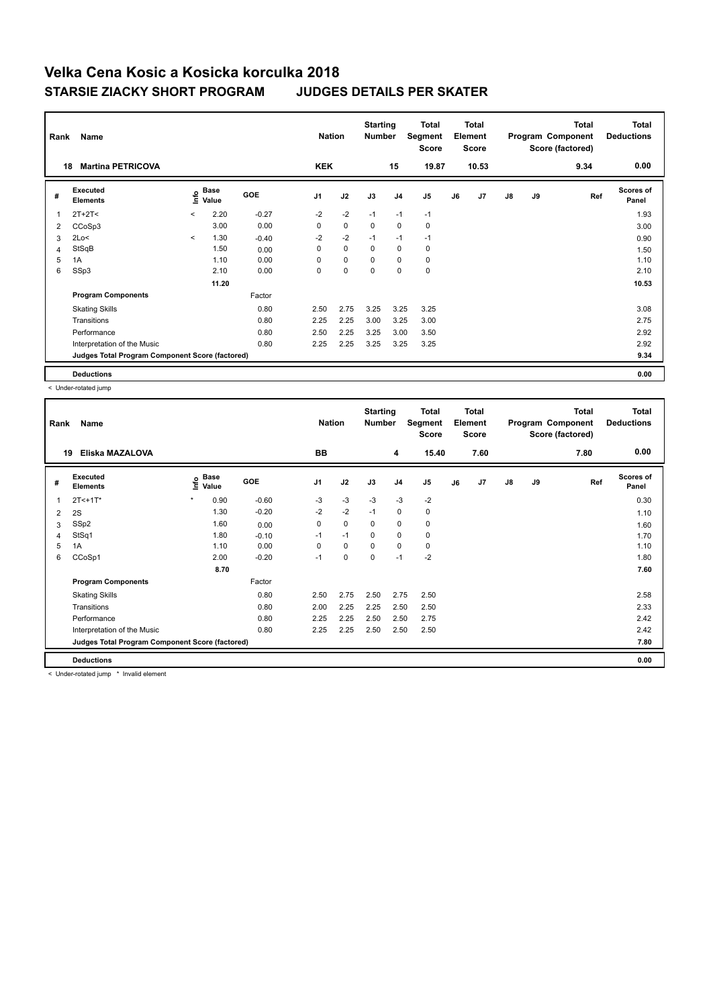| Rank | Name                                            |         | <b>Nation</b> |         | <b>Starting</b><br><b>Number</b> | Total<br>Segment<br><b>Score</b> | Total<br>Element<br><b>Score</b> |                |                |    | <b>Total</b><br>Program Component<br>Score (factored) | <b>Total</b><br><b>Deductions</b> |    |      |                           |
|------|-------------------------------------------------|---------|---------------|---------|----------------------------------|----------------------------------|----------------------------------|----------------|----------------|----|-------------------------------------------------------|-----------------------------------|----|------|---------------------------|
|      | <b>Martina PETRICOVA</b><br>18                  |         |               |         | <b>KEK</b>                       |                                  |                                  | 15             | 19.87          |    | 10.53                                                 |                                   |    | 9.34 | 0.00                      |
| #    | Executed<br><b>Elements</b>                     | Info    | Base<br>Value | GOE     | J <sub>1</sub>                   | J2                               | J3                               | J <sub>4</sub> | J <sub>5</sub> | J6 | J7                                                    | $\mathsf{J}8$                     | J9 | Ref  | <b>Scores of</b><br>Panel |
| 1    | $2T+2T<$                                        | $\prec$ | 2.20          | $-0.27$ | $-2$                             | $-2$                             | $-1$                             | $-1$           | $-1$           |    |                                                       |                                   |    |      | 1.93                      |
| 2    | CCoSp3                                          |         | 3.00          | 0.00    | 0                                | $\mathbf 0$                      | 0                                | $\mathbf 0$    | 0              |    |                                                       |                                   |    |      | 3.00                      |
| 3    | 2Lo<                                            | $\prec$ | 1.30          | $-0.40$ | $-2$                             | $-2$                             | $-1$                             | $-1$           | $-1$           |    |                                                       |                                   |    |      | 0.90                      |
| 4    | StSqB                                           |         | 1.50          | 0.00    | 0                                | $\mathbf 0$                      | 0                                | $\mathbf 0$    | 0              |    |                                                       |                                   |    |      | 1.50                      |
| 5    | 1A                                              |         | 1.10          | 0.00    | 0                                | $\mathbf 0$                      | $\mathbf 0$                      | $\mathbf 0$    | $\mathbf 0$    |    |                                                       |                                   |    |      | 1.10                      |
| 6    | SSp3                                            |         | 2.10          | 0.00    | 0                                | $\mathbf 0$                      | $\mathbf 0$                      | $\mathbf 0$    | $\mathbf 0$    |    |                                                       |                                   |    |      | 2.10                      |
|      |                                                 |         | 11.20         |         |                                  |                                  |                                  |                |                |    |                                                       |                                   |    |      | 10.53                     |
|      | <b>Program Components</b>                       |         |               | Factor  |                                  |                                  |                                  |                |                |    |                                                       |                                   |    |      |                           |
|      | <b>Skating Skills</b>                           |         |               | 0.80    | 2.50                             | 2.75                             | 3.25                             | 3.25           | 3.25           |    |                                                       |                                   |    |      | 3.08                      |
|      | Transitions                                     |         |               | 0.80    | 2.25                             | 2.25                             | 3.00                             | 3.25           | 3.00           |    |                                                       |                                   |    |      | 2.75                      |
|      | Performance                                     |         |               | 0.80    | 2.50                             | 2.25                             | 3.25                             | 3.00           | 3.50           |    |                                                       |                                   |    |      | 2.92                      |
|      | Interpretation of the Music                     |         |               | 0.80    | 2.25                             | 2.25                             | 3.25                             | 3.25           | 3.25           |    |                                                       |                                   |    |      | 2.92                      |
|      | Judges Total Program Component Score (factored) |         |               |         |                                  |                                  |                                  |                |                |    |                                                       |                                   |    |      | 9.34                      |
|      | <b>Deductions</b>                               |         |               |         |                                  |                                  |                                  |                |                |    |                                                       |                                   |    |      | 0.00                      |

< Under-rotated jump

| Rank         | Name                                            |         | <b>Nation</b>               |         | <b>Starting</b><br><b>Number</b> | Total<br>Segment<br><b>Score</b> | <b>Total</b><br>Element<br><b>Score</b> |                |                |    | <b>Total</b><br>Program Component<br>Score (factored) | Total<br><b>Deductions</b> |    |      |                           |
|--------------|-------------------------------------------------|---------|-----------------------------|---------|----------------------------------|----------------------------------|-----------------------------------------|----------------|----------------|----|-------------------------------------------------------|----------------------------|----|------|---------------------------|
| 19           | Eliska MAZALOVA                                 |         |                             |         | <b>BB</b>                        |                                  |                                         | 4              | 15.40          |    | 7.60                                                  |                            |    | 7.80 | 0.00                      |
| #            | Executed<br><b>Elements</b>                     |         | Base<br>$\frac{6}{5}$ Value | GOE     | J <sub>1</sub>                   | J2                               | J3                                      | J <sub>4</sub> | J <sub>5</sub> | J6 | J7                                                    | $\mathsf{J}8$              | J9 | Ref  | <b>Scores of</b><br>Panel |
| $\mathbf{1}$ | $2T < +1T$ *                                    | $\star$ | 0.90                        | $-0.60$ | $-3$                             | $-3$                             | $-3$                                    | $-3$           | $-2$           |    |                                                       |                            |    |      | 0.30                      |
| 2            | 2S                                              |         | 1.30                        | $-0.20$ | $-2$                             | $-2$                             | $-1$                                    | $\mathbf 0$    | $\pmb{0}$      |    |                                                       |                            |    |      | 1.10                      |
| 3            | SSp2                                            |         | 1.60                        | 0.00    | 0                                | $\mathbf 0$                      | 0                                       | 0              | 0              |    |                                                       |                            |    |      | 1.60                      |
| 4            | StSq1                                           |         | 1.80                        | $-0.10$ | $-1$                             | $-1$                             | 0                                       | $\pmb{0}$      | $\pmb{0}$      |    |                                                       |                            |    |      | 1.70                      |
| 5            | 1A                                              |         | 1.10                        | 0.00    | 0                                | $\mathbf 0$                      | $\mathbf 0$                             | $\mathbf 0$    | 0              |    |                                                       |                            |    |      | 1.10                      |
| 6            | CCoSp1                                          |         | 2.00                        | $-0.20$ | $-1$                             | 0                                | 0                                       | $-1$           | $-2$           |    |                                                       |                            |    |      | 1.80                      |
|              |                                                 |         | 8.70                        |         |                                  |                                  |                                         |                |                |    |                                                       |                            |    |      | 7.60                      |
|              | <b>Program Components</b>                       |         |                             | Factor  |                                  |                                  |                                         |                |                |    |                                                       |                            |    |      |                           |
|              | <b>Skating Skills</b>                           |         |                             | 0.80    | 2.50                             | 2.75                             | 2.50                                    | 2.75           | 2.50           |    |                                                       |                            |    |      | 2.58                      |
|              | Transitions                                     |         |                             | 0.80    | 2.00                             | 2.25                             | 2.25                                    | 2.50           | 2.50           |    |                                                       |                            |    |      | 2.33                      |
|              | Performance                                     |         |                             | 0.80    | 2.25                             | 2.25                             | 2.50                                    | 2.50           | 2.75           |    |                                                       |                            |    |      | 2.42                      |
|              | Interpretation of the Music                     |         |                             | 0.80    | 2.25                             | 2.25                             | 2.50                                    | 2.50           | 2.50           |    |                                                       |                            |    |      | 2.42                      |
|              | Judges Total Program Component Score (factored) |         |                             |         |                                  |                                  |                                         |                |                |    |                                                       |                            |    |      | 7.80                      |
|              | <b>Deductions</b>                               |         |                             |         |                                  |                                  |                                         |                |                |    |                                                       |                            |    |      | 0.00                      |

< Under-rotated jump \* Invalid element